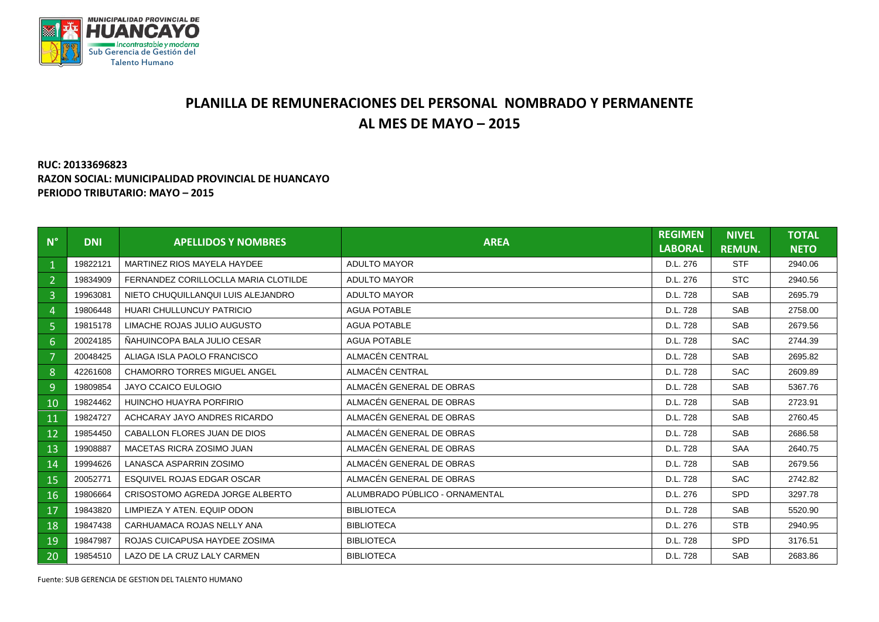

## **PLANILLA DE REMUNERACIONES DEL PERSONAL NOMBRADO Y PERMANENTE AL MES DE MAYO – 2015**

## **RUC: 20133696823 RAZON SOCIAL: MUNICIPALIDAD PROVINCIAL DE HUANCAYO PERIODO TRIBUTARIO: MAYO – 2015**

| $N^{\circ}$    | <b>DNI</b> | <b>APELLIDOS Y NOMBRES</b>           | <b>AREA</b>                    | <b>REGIMEN</b><br><b>LABORAL</b> | <b>NIVEL</b><br><b>REMUN.</b> | <b>TOTAL</b><br><b>NETO</b> |
|----------------|------------|--------------------------------------|--------------------------------|----------------------------------|-------------------------------|-----------------------------|
| $\mathbf{1}$   | 19822121   | MARTINEZ RIOS MAYELA HAYDEE          | <b>ADULTO MAYOR</b>            | D.L. 276                         | <b>STF</b>                    | 2940.06                     |
| $\overline{2}$ | 19834909   | FERNANDEZ CORILLOCLLA MARIA CLOTILDE | <b>ADULTO MAYOR</b>            | D.L. 276                         | <b>STC</b>                    | 2940.56                     |
| 3              | 19963081   | NIETO CHUQUILLANQUI LUIS ALEJANDRO   | <b>ADULTO MAYOR</b>            | D.L. 728                         | <b>SAB</b>                    | 2695.79                     |
| 4              | 19806448   | HUARI CHULLUNCUY PATRICIO            | <b>AGUA POTABLE</b>            | D.L. 728                         | <b>SAB</b>                    | 2758.00                     |
| 5              | 19815178   | LIMACHE ROJAS JULIO AUGUSTO          | <b>AGUA POTABLE</b>            | D.L. 728                         | <b>SAB</b>                    | 2679.56                     |
| $6^{\circ}$    | 20024185   | NAHUINCOPA BALA JULIO CESAR          | <b>AGUA POTABLE</b>            | D.L. 728                         | <b>SAC</b>                    | 2744.39                     |
| $\overline{7}$ | 20048425   | ALIAGA ISLA PAOLO FRANCISCO          | ALMACÉN CENTRAL                | D.L. 728                         | <b>SAB</b>                    | 2695.82                     |
| 8              | 42261608   | <b>CHAMORRO TORRES MIGUEL ANGEL</b>  | ALMACÉN CENTRAL                | D.L. 728                         | <b>SAC</b>                    | 2609.89                     |
| 9              | 19809854   | JAYO CCAICO EULOGIO                  | ALMACÉN GENERAL DE OBRAS       | D.L. 728                         | <b>SAB</b>                    | 5367.76                     |
| 10             | 19824462   | HUINCHO HUAYRA PORFIRIO              | ALMACÉN GENERAL DE OBRAS       | D.L. 728                         | <b>SAB</b>                    | 2723.91                     |
| 11             | 19824727   | ACHCARAY JAYO ANDRES RICARDO         | ALMACÉN GENERAL DE OBRAS       | D.L. 728                         | <b>SAB</b>                    | 2760.45                     |
| 12             | 19854450   | CABALLON FLORES JUAN DE DIOS         | ALMACÉN GENERAL DE OBRAS       | D.L. 728                         | <b>SAB</b>                    | 2686.58                     |
| 13             | 19908887   | MACETAS RICRA ZOSIMO JUAN            | ALMACÉN GENERAL DE OBRAS       | D.L. 728                         | <b>SAA</b>                    | 2640.75                     |
| 14             | 19994626   | LANASCA ASPARRIN ZOSIMO              | ALMACÉN GENERAL DE OBRAS       | D.L. 728                         | <b>SAB</b>                    | 2679.56                     |
| 15             | 20052771   | ESQUIVEL ROJAS EDGAR OSCAR           | ALMACÉN GENERAL DE OBRAS       | D.L. 728                         | <b>SAC</b>                    | 2742.82                     |
| 16             | 19806664   | CRISOSTOMO AGREDA JORGE ALBERTO      | ALUMBRADO PÚBLICO - ORNAMENTAL | D.L. 276                         | <b>SPD</b>                    | 3297.78                     |
| 17             | 19843820   | LIMPIEZA Y ATEN, EQUIP ODON          | <b>BIBLIOTECA</b>              | D.L. 728                         | <b>SAB</b>                    | 5520.90                     |
| 18             | 19847438   | CARHUAMACA ROJAS NELLY ANA           | <b>BIBLIOTECA</b>              | D.L. 276                         | <b>STB</b>                    | 2940.95                     |
| 19             | 19847987   | ROJAS CUICAPUSA HAYDEE ZOSIMA        | <b>BIBLIOTECA</b>              | D.L. 728                         | <b>SPD</b>                    | 3176.51                     |
| 20             | 19854510   | LAZO DE LA CRUZ LALY CARMEN          | <b>BIBLIOTECA</b>              | D.L. 728                         | <b>SAB</b>                    | 2683.86                     |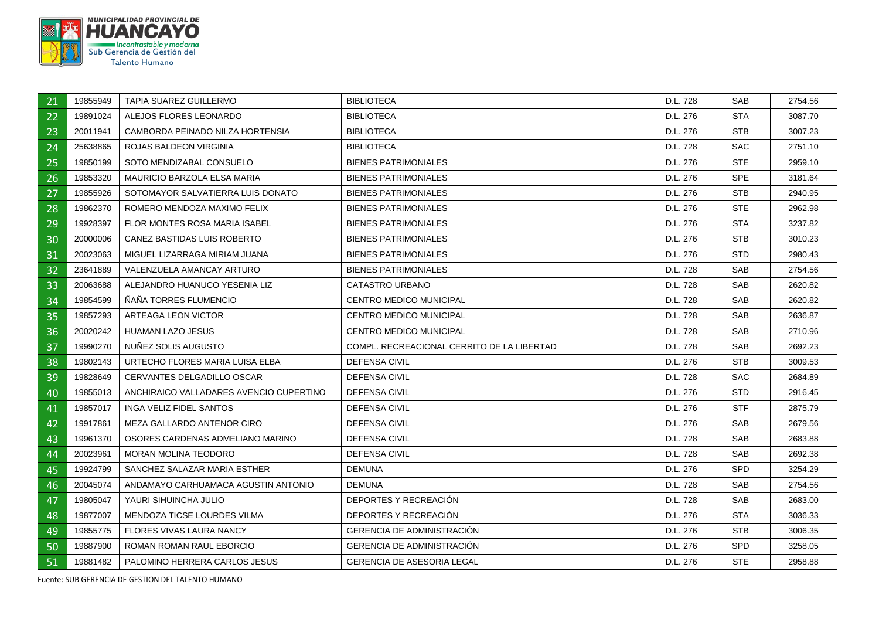

| 21 | 19855949 | <b>TAPIA SUAREZ GUILLERMO</b>           | <b>BIBLIOTECA</b>                          | D.L. 728 | SAB        | 2754.56 |
|----|----------|-----------------------------------------|--------------------------------------------|----------|------------|---------|
| 22 | 19891024 | ALEJOS FLORES LEONARDO                  | <b>BIBLIOTECA</b>                          | D.L. 276 | <b>STA</b> | 3087.70 |
| 23 | 20011941 | CAMBORDA PEINADO NILZA HORTENSIA        | <b>BIBLIOTECA</b>                          | D.L. 276 | STB        | 3007.23 |
| 24 | 25638865 | ROJAS BALDEON VIRGINIA                  | <b>BIBLIOTECA</b>                          | D.L. 728 | <b>SAC</b> | 2751.10 |
| 25 | 19850199 | SOTO MENDIZABAL CONSUELO                | <b>BIENES PATRIMONIALES</b>                | D.L. 276 | STE.       | 2959.10 |
| 26 | 19853320 | MAURICIO BARZOLA ELSA MARIA             | <b>BIENES PATRIMONIALES</b>                | D.L. 276 | <b>SPE</b> | 3181.64 |
| 27 | 19855926 | SOTOMAYOR SALVATIERRA LUIS DONATO       | <b>BIENES PATRIMONIALES</b>                | D.L. 276 | STB        | 2940.95 |
| 28 | 19862370 | ROMERO MENDOZA MAXIMO FELIX             | <b>BIENES PATRIMONIALES</b>                | D.L. 276 | STE.       | 2962.98 |
| 29 | 19928397 | <b>FLOR MONTES ROSA MARIA ISABEL</b>    | <b>BIENES PATRIMONIALES</b>                | D.L. 276 | <b>STA</b> | 3237.82 |
| 30 | 20000006 | CANEZ BASTIDAS LUIS ROBERTO             | <b>BIENES PATRIMONIALES</b>                | D.L. 276 | <b>STB</b> | 3010.23 |
| 31 | 20023063 | MIGUEL LIZARRAGA MIRIAM JUANA           | <b>BIENES PATRIMONIALES</b>                | D.L. 276 | <b>STD</b> | 2980.43 |
| 32 | 23641889 | VALENZUELA AMANCAY ARTURO               | <b>BIENES PATRIMONIALES</b>                | D.L. 728 | SAB        | 2754.56 |
| 33 | 20063688 | ALEJANDRO HUANUCO YESENIA LIZ           | CATASTRO URBANO                            | D.L. 728 | SAB        | 2620.82 |
| 34 | 19854599 | NANA TORRES FLUMENCIO                   | CENTRO MEDICO MUNICIPAL                    | D.L. 728 | SAB        | 2620.82 |
| 35 | 19857293 | ARTEAGA LEON VICTOR                     | <b>CENTRO MEDICO MUNICIPAL</b>             | D.L. 728 | <b>SAB</b> | 2636.87 |
| 36 | 20020242 | <b>HUAMAN LAZO JESUS</b>                | <b>CENTRO MEDICO MUNICIPAL</b>             | D.L. 728 | SAB.       | 2710.96 |
| 37 | 19990270 | NUÑEZ SOLIS AUGUSTO                     | COMPL. RECREACIONAL CERRITO DE LA LIBERTAD | D.L. 728 | <b>SAB</b> | 2692.23 |
| 38 | 19802143 | URTECHO FLORES MARIA LUISA ELBA         | <b>DEFENSA CIVIL</b>                       | D.L. 276 | <b>STB</b> | 3009.53 |
| 39 | 19828649 | CERVANTES DELGADILLO OSCAR              | DEFENSA CIVIL                              | D.L. 728 | SAC.       | 2684.89 |
| 40 | 19855013 | ANCHIRAICO VALLADARES AVENCIO CUPERTINO | <b>DEFENSA CIVIL</b>                       | D.L. 276 | STD.       | 2916.45 |
| 41 | 19857017 | <b>INGA VELIZ FIDEL SANTOS</b>          | DEFENSA CIVIL                              | D.L. 276 | <b>STF</b> | 2875.79 |
| 42 | 19917861 | MEZA GALLARDO ANTENOR CIRO              | DEFENSA CIVIL                              | D.L. 276 | <b>SAB</b> | 2679.56 |
| 43 | 19961370 | OSORES CARDENAS ADMELIANO MARINO        | <b>DEFENSA CIVIL</b>                       | D.L. 728 | <b>SAB</b> | 2683.88 |
| 44 | 20023961 | <b>MORAN MOLINA TEODORO</b>             | DEFENSA CIVIL                              | D.L. 728 | SAB        | 2692.38 |
| 45 | 19924799 | SANCHEZ SALAZAR MARIA ESTHER            | <b>DEMUNA</b>                              | D.L. 276 | <b>SPD</b> | 3254.29 |
| 46 | 20045074 | ANDAMAYO CARHUAMACA AGUSTIN ANTONIO     | <b>DEMUNA</b>                              | D.L. 728 | <b>SAB</b> | 2754.56 |
| 47 | 19805047 | YAURI SIHUINCHA JULIO                   | DEPORTES Y RECREACIÓN                      | D.L. 728 | SAB        | 2683.00 |
| 48 | 19877007 | MENDOZA TICSE LOURDES VILMA             | DEPORTES Y RECREACIÓN                      | D.L. 276 | <b>STA</b> | 3036.33 |
| 49 | 19855775 | <b>FLORES VIVAS LAURA NANCY</b>         | <b>GERENCIA DE ADMINISTRACIÓN</b>          | D.L. 276 | <b>STB</b> | 3006.35 |
| 50 | 19887900 | ROMAN ROMAN RAUL EBORCIO                | <b>GERENCIA DE ADMINISTRACIÓN</b>          | D.L. 276 | SPD.       | 3258.05 |
| 51 | 19881482 | PALOMINO HERRERA CARLOS JESUS           | <b>GERENCIA DE ASESORIA LEGAL</b>          | D.L. 276 | STE.       | 2958.88 |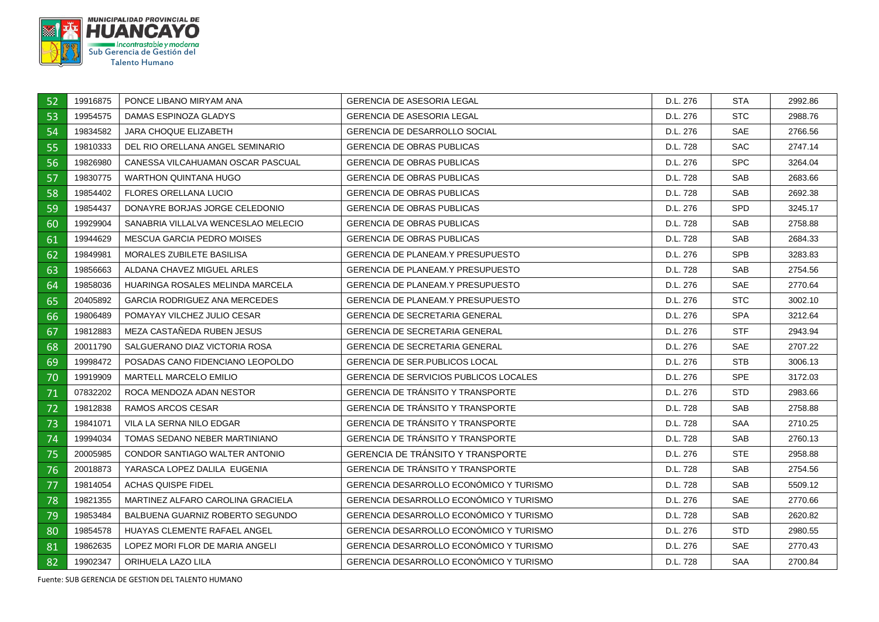

| 52 | 19916875 | PONCE LIBANO MIRYAM ANA              | <b>GERENCIA DE ASESORIA LEGAL</b>              | D.L. 276 | STA        | 2992.86 |
|----|----------|--------------------------------------|------------------------------------------------|----------|------------|---------|
| 53 | 19954575 | DAMAS ESPINOZA GLADYS                | <b>GERENCIA DE ASESORIA LEGAL</b>              | D.L. 276 | <b>STC</b> | 2988.76 |
| 54 | 19834582 | JARA CHOQUE ELIZABETH                | GERENCIA DE DESARROLLO SOCIAL                  | D.L. 276 | <b>SAE</b> | 2766.56 |
| 55 | 19810333 | DEL RIO ORELLANA ANGEL SEMINARIO     | <b>GERENCIA DE OBRAS PUBLICAS</b>              | D.L. 728 | <b>SAC</b> | 2747.14 |
| 56 | 19826980 | CANESSA VILCAHUAMAN OSCAR PASCUAL    | <b>GERENCIA DE OBRAS PUBLICAS</b>              | D.L. 276 | <b>SPC</b> | 3264.04 |
| 57 | 19830775 | WARTHON QUINTANA HUGO                | <b>GERENCIA DE OBRAS PUBLICAS</b>              | D.L. 728 | <b>SAB</b> | 2683.66 |
| 58 | 19854402 | <b>FLORES ORELLANA LUCIO</b>         | <b>GERENCIA DE OBRAS PUBLICAS</b>              | D.L. 728 | <b>SAB</b> | 2692.38 |
| 59 | 19854437 | DONAYRE BORJAS JORGE CELEDONIO       | <b>GERENCIA DE OBRAS PUBLICAS</b>              | D.L. 276 | <b>SPD</b> | 3245.17 |
| 60 | 19929904 | SANABRIA VILLALVA WENCESLAO MELECIO  | <b>GERENCIA DE OBRAS PUBLICAS</b>              | D.L. 728 | <b>SAB</b> | 2758.88 |
| 61 | 19944629 | MESCUA GARCIA PEDRO MOISES           | <b>GERENCIA DE OBRAS PUBLICAS</b>              | D.L. 728 | <b>SAB</b> | 2684.33 |
| 62 | 19849981 | MORALES ZUBILETE BASILISA            | <b>GERENCIA DE PLANEAM.Y PRESUPUESTO</b>       | D.L. 276 | <b>SPB</b> | 3283.83 |
| 63 | 19856663 | ALDANA CHAVEZ MIGUEL ARLES           | GERENCIA DE PLANEAM.Y PRESUPUESTO              | D.L. 728 | <b>SAB</b> | 2754.56 |
| 64 | 19858036 | HUARINGA ROSALES MELINDA MARCELA     | <b>GERENCIA DE PLANEAM.Y PRESUPUESTO</b>       | D.L. 276 | <b>SAE</b> | 2770.64 |
| 65 | 20405892 | <b>GARCIA RODRIGUEZ ANA MERCEDES</b> | <b>GERENCIA DE PLANEAM Y PRESUPUESTO</b>       | D.L. 276 | <b>STC</b> | 3002.10 |
| 66 | 19806489 | POMAYAY VILCHEZ JULIO CESAR          | <b>GERENCIA DE SECRETARIA GENERAL</b>          | D.L. 276 | <b>SPA</b> | 3212.64 |
| 67 | 19812883 | MEZA CASTAÑEDA RUBEN JESUS           | <b>GERENCIA DE SECRETARIA GENERAL</b>          | D.L. 276 | <b>STF</b> | 2943.94 |
| 68 | 20011790 | SALGUERANO DIAZ VICTORIA ROSA        | <b>GERENCIA DE SECRETARIA GENERAL</b>          | D.L. 276 | <b>SAE</b> | 2707.22 |
| 69 | 19998472 | POSADAS CANO FIDENCIANO LEOPOLDO     | <b>GERENCIA DE SER PUBLICOS LOCAL</b>          | D.L. 276 | <b>STB</b> | 3006.13 |
| 70 | 19919909 | MARTELL MARCELO EMILIO               | <b>GERENCIA DE SERVICIOS PUBLICOS LOCALES</b>  | D.L. 276 | <b>SPE</b> | 3172.03 |
| 71 | 07832202 | ROCA MENDOZA ADAN NESTOR             | <b>GERENCIA DE TRÁNSITO Y TRANSPORTE</b>       | D.L. 276 | <b>STD</b> | 2983.66 |
| 72 | 19812838 | RAMOS ARCOS CESAR                    | <b>GERENCIA DE TRÁNSITO Y TRANSPORTE</b>       | D.L. 728 | <b>SAB</b> | 2758.88 |
| 73 | 19841071 | VILA LA SERNA NILO EDGAR             | <b>GERENCIA DE TRANSITO Y TRANSPORTE</b>       | D.L. 728 | <b>SAA</b> | 2710.25 |
| 74 | 19994034 | TOMAS SEDANO NEBER MARTINIANO        | <b>GERENCIA DE TRANSITO Y TRANSPORTE</b>       | D.L. 728 | <b>SAB</b> | 2760.13 |
| 75 | 20005985 | CONDOR SANTIAGO WALTER ANTONIO       | <b>GERENCIA DE TRANSITO Y TRANSPORTE</b>       | D.L. 276 | <b>STE</b> | 2958.88 |
| 76 | 20018873 | YARASCA LOPEZ DALILA EUGENIA         | <b>GERENCIA DE TRÁNSITO Y TRANSPORTE</b>       | D.L. 728 | <b>SAB</b> | 2754.56 |
| 77 | 19814054 | ACHAS QUISPE FIDEL                   | GERENCIA DESARROLLO ECONÓMICO Y TURISMO        | D.L. 728 | <b>SAB</b> | 5509.12 |
| 78 | 19821355 | MARTINEZ ALFARO CAROLINA GRACIELA    | <b>GERENCIA DESARROLLO ECONÓMICO Y TURISMO</b> | D.L. 276 | <b>SAE</b> | 2770.66 |
| 79 | 19853484 | BALBUENA GUARNIZ ROBERTO SEGUNDO     | GERENCIA DESARROLLO ECONÓMICO Y TURISMO        | D.L. 728 | <b>SAB</b> | 2620.82 |
| 80 | 19854578 | <b>HUAYAS CLEMENTE RAFAEL ANGEL</b>  | <b>GERENCIA DESARROLLO ECONÓMICO Y TURISMO</b> | D.L. 276 | <b>STD</b> | 2980.55 |
| 81 | 19862635 | LOPEZ MORI FLOR DE MARIA ANGELI      | GERENCIA DESARROLLO ECONÓMICO Y TURISMO        | D.L. 276 | <b>SAE</b> | 2770.43 |
| 82 | 19902347 | ORIHUELA LAZO LILA                   | <b>GERENCIA DESARROLLO ECONÓMICO Y TURISMO</b> | D.L. 728 | SAA        | 2700.84 |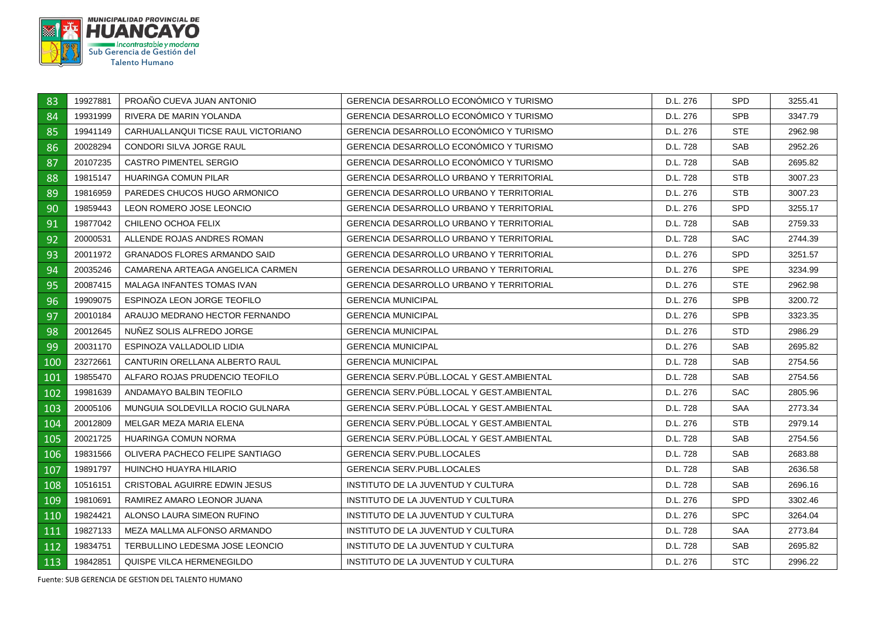

| 83  | 19927881 | PROAÑO CUEVA JUAN ANTONIO           | GERENCIA DESARROLLO ECONÓMICO Y TURISMO         | D.L. 276 | SPD.       | 3255.41 |
|-----|----------|-------------------------------------|-------------------------------------------------|----------|------------|---------|
| 84  | 19931999 | RIVERA DE MARIN YOLANDA             | <b>GERENCIA DESARROLLO ECONÓMICO Y TURISMO</b>  | D.L. 276 | <b>SPB</b> | 3347.79 |
| 85  | 19941149 | CARHUALLANQUI TICSE RAUL VICTORIANO | GERENCIA DESARROLLO ECONÓMICO Y TURISMO         | D.L. 276 | <b>STE</b> | 2962.98 |
| 86  | 20028294 | CONDORI SILVA JORGE RAUL            | GERENCIA DESARROLLO ECONÓMICO Y TURISMO         | D.L. 728 | <b>SAB</b> | 2952.26 |
| 87  | 20107235 | <b>CASTRO PIMENTEL SERGIO</b>       | GERENCIA DESARROLLO ECONÓMICO Y TURISMO         | D.L. 728 | <b>SAB</b> | 2695.82 |
| 88  | 19815147 | HUARINGA COMUN PILAR                | <b>GERENCIA DESARROLLO URBANO Y TERRITORIAL</b> | D.L. 728 | STB        | 3007.23 |
| 89  | 19816959 | PAREDES CHUCOS HUGO ARMONICO        | <b>GERENCIA DESARROLLO URBANO Y TERRITORIAL</b> | D.L. 276 | <b>STB</b> | 3007.23 |
| 90  | 19859443 | LEON ROMERO JOSE LEONCIO            | GERENCIA DESARROLLO URBANO Y TERRITORIAL        | D.L. 276 | <b>SPD</b> | 3255.17 |
| 91  | 19877042 | CHILENO OCHOA FELIX                 | <b>GERENCIA DESARROLLO URBANO Y TERRITORIAL</b> | D.L. 728 | <b>SAB</b> | 2759.33 |
| 92  | 20000531 | ALLENDE ROJAS ANDRES ROMAN          | <b>GERENCIA DESARROLLO URBANO Y TERRITORIAL</b> | D.L. 728 | SAC.       | 2744.39 |
| 93  | 20011972 | <b>GRANADOS FLORES ARMANDO SAID</b> | <b>GERENCIA DESARROLLO URBANO Y TERRITORIAL</b> | D.L. 276 | <b>SPD</b> | 3251.57 |
| 94  | 20035246 | CAMARENA ARTEAGA ANGELICA CARMEN    | <b>GERENCIA DESARROLLO URBANO Y TERRITORIAL</b> | D.L. 276 | <b>SPE</b> | 3234.99 |
| 95  | 20087415 | MALAGA INFANTES TOMAS IVAN          | GERENCIA DESARROLLO URBANO Y TERRITORIAL        | D.L. 276 | STE.       | 2962.98 |
| 96  | 19909075 | ESPINOZA LEON JORGE TEOFILO         | <b>GERENCIA MUNICIPAL</b>                       | D.L. 276 | <b>SPB</b> | 3200.72 |
| 97  | 20010184 | ARAUJO MEDRANO HECTOR FERNANDO      | <b>GERENCIA MUNICIPAL</b>                       | D.L. 276 | <b>SPB</b> | 3323.35 |
| 98  | 20012645 | NUNEZ SOLIS ALFREDO JORGE           | <b>GERENCIA MUNICIPAL</b>                       | D.L. 276 | STD.       | 2986.29 |
| 99  | 20031170 | ESPINOZA VALLADOLID LIDIA           | <b>GERENCIA MUNICIPAL</b>                       | D.L. 276 | <b>SAB</b> | 2695.82 |
| 100 | 23272661 | CANTURIN ORELLANA ALBERTO RAUL      | <b>GERENCIA MUNICIPAL</b>                       | D.L. 728 | <b>SAB</b> | 2754.56 |
| 101 | 19855470 | ALFARO ROJAS PRUDENCIO TEOFILO      | GERENCIA SERV.PUBL.LOCAL Y GEST.AMBIENTAL       | D.L. 728 | <b>SAB</b> | 2754.56 |
| 102 | 19981639 | ANDAMAYO BALBIN TEOFILO             | GERENCIA SERV.PUBL.LOCAL Y GEST.AMBIENTAL       | D.L. 276 | <b>SAC</b> | 2805.96 |
| 103 | 20005106 | MUNGUIA SOLDEVILLA ROCIO GULNARA    | GERENCIA SERV.PUBL.LOCAL Y GEST.AMBIENTAL       | D.L. 728 | <b>SAA</b> | 2773.34 |
| 104 | 20012809 | MELGAR MEZA MARIA ELENA             | GERENCIA SERV.PÚBL.LOCAL Y GEST.AMBIENTAL       | D.L. 276 | <b>STB</b> | 2979.14 |
| 105 | 20021725 | HUARINGA COMUN NORMA                | GERENCIA SERV. PUBL. LOCAL Y GEST. AMBIENTAL    | D.L. 728 | <b>SAB</b> | 2754.56 |
| 106 | 19831566 | OLIVERA PACHECO FELIPE SANTIAGO     | <b>GERENCIA SERV.PUBL.LOCALES</b>               | D.L. 728 | <b>SAB</b> | 2683.88 |
| 107 | 19891797 | HUINCHO HUAYRA HILARIO              | <b>GERENCIA SERV.PUBL.LOCALES</b>               | D.L. 728 | <b>SAB</b> | 2636.58 |
| 108 | 10516151 | CRISTOBAL AGUIRRE EDWIN JESUS       | INSTITUTO DE LA JUVENTUD Y CULTURA              | D.L. 728 | <b>SAB</b> | 2696.16 |
| 109 | 19810691 | RAMIREZ AMARO LEONOR JUANA          | INSTITUTO DE LA JUVENTUD Y CULTURA              | D.L. 276 | <b>SPD</b> | 3302.46 |
| 110 | 19824421 | ALONSO LAURA SIMEON RUFINO          | INSTITUTO DE LA JUVENTUD Y CULTURA              | D.L. 276 | SPC        | 3264.04 |
| 111 | 19827133 | MEZA MALLMA ALFONSO ARMANDO         | INSTITUTO DE LA JUVENTUD Y CULTURA              | D.L. 728 | <b>SAA</b> | 2773.84 |
| 112 | 19834751 | TERBULLINO LEDESMA JOSE LEONCIO     | INSTITUTO DE LA JUVENTUD Y CULTURA              | D.L. 728 | <b>SAB</b> | 2695.82 |
| 113 | 19842851 | QUISPE VILCA HERMENEGILDO           | INSTITUTO DE LA JUVENTUD Y CULTURA              | D.L. 276 | STC        | 2996.22 |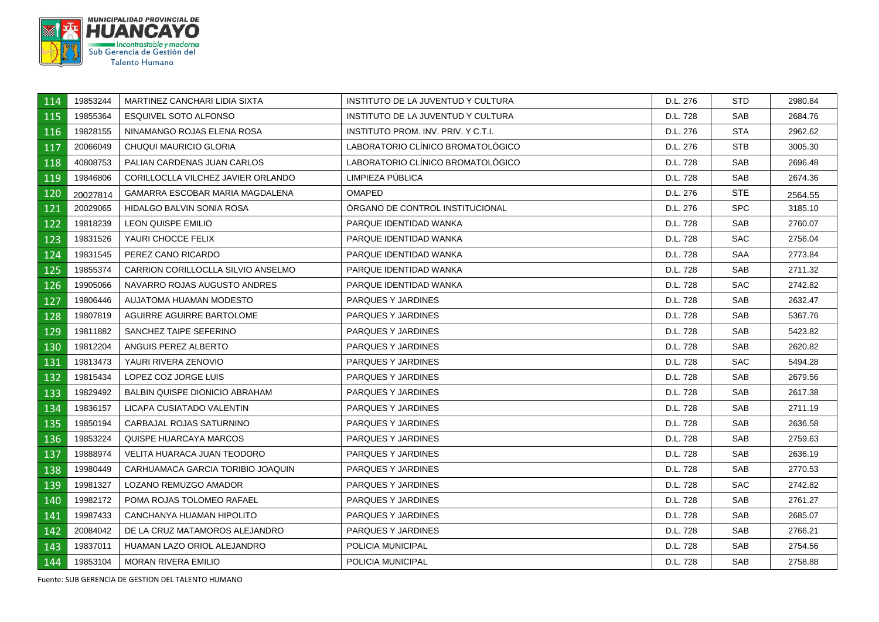

| 114 | 19853244 | MARTINEZ CANCHARI LIDIA SIXTA         | INSTITUTO DE LA JUVENTUD Y CULTURA  | D.L. 276 | STD.       | 2980.84 |
|-----|----------|---------------------------------------|-------------------------------------|----------|------------|---------|
| 115 | 19855364 | ESQUIVEL SOTO ALFONSO                 | INSTITUTO DE LA JUVENTUD Y CULTURA  | D.L. 728 | <b>SAB</b> | 2684.76 |
| 116 | 19828155 | NINAMANGO ROJAS ELENA ROSA            | INSTITUTO PROM. INV. PRIV. Y C.T.I. | D.L. 276 | <b>STA</b> | 2962.62 |
| 117 | 20066049 | CHUQUI MAURICIO GLORIA                | LABORATORIO CLÍNICO BROMATOLÓGICO   | D.L. 276 | <b>STB</b> | 3005.30 |
| 118 | 40808753 | PALIAN CARDENAS JUAN CARLOS           | LABORATORIO CLÍNICO BROMATOLÓGICO   | D.L. 728 | <b>SAB</b> | 2696.48 |
| 119 | 19846806 | CORILLOCLLA VILCHEZ JAVIER ORLANDO    | LIMPIEZA PUBLICA                    | D.L. 728 | <b>SAB</b> | 2674.36 |
| 120 | 20027814 | GAMARRA ESCOBAR MARIA MAGDALENA       | <b>OMAPED</b>                       | D.L. 276 | <b>STE</b> | 2564.55 |
| 121 | 20029065 | HIDALGO BALVIN SONIA ROSA             | ORGANO DE CONTROL INSTITUCIONAL     | D.L. 276 | SPC.       | 3185.10 |
| 122 | 19818239 | LEON QUISPE EMILIO                    | PARQUE IDENTIDAD WANKA              | D.L. 728 | SAB        | 2760.07 |
| 123 | 19831526 | YAURI CHOCCE FELIX                    | PARQUE IDENTIDAD WANKA              | D.L. 728 | <b>SAC</b> | 2756.04 |
| 124 | 19831545 | PEREZ CANO RICARDO                    | PARQUE IDENTIDAD WANKA              | D.L. 728 | <b>SAA</b> | 2773.84 |
| 125 | 19855374 | CARRION CORILLOCLLA SILVIO ANSELMO    | PARQUE IDENTIDAD WANKA              | D.L. 728 | <b>SAB</b> | 2711.32 |
| 126 | 19905066 | NAVARRO ROJAS AUGUSTO ANDRES          | PARQUE IDENTIDAD WANKA              | D.L. 728 | SAC.       | 2742.82 |
| 127 | 19806446 | AUJATOMA HUAMAN MODESTO               | PARQUES Y JARDINES                  | D.L. 728 | <b>SAB</b> | 2632.47 |
| 128 | 19807819 | AGUIRRE AGUIRRE BARTOLOME             | <b>PARQUES Y JARDINES</b>           | D.L. 728 | <b>SAB</b> | 5367.76 |
| 129 | 19811882 | SANCHEZ TAIPE SEFERINO                | PARQUES Y JARDINES                  | D.L. 728 | <b>SAB</b> | 5423.82 |
| 130 | 19812204 | ANGUIS PEREZ ALBERTO                  | PARQUES Y JARDINES                  | D.L. 728 | <b>SAB</b> | 2620.82 |
| 131 | 19813473 | YAURI RIVERA ZENOVIO                  | PARQUES Y JARDINES                  | D.L. 728 | SAC.       | 5494.28 |
| 132 | 19815434 | LOPEZ COZ JORGE LUIS                  | PARQUES Y JARDINES                  | D.L. 728 | SAB        | 2679.56 |
| 133 | 19829492 | <b>BALBIN QUISPE DIONICIO ABRAHAM</b> | PARQUES Y JARDINES                  | D.L. 728 | <b>SAB</b> | 2617.38 |
| 134 | 19836157 | LICAPA CUSIATADO VALENTIN             | PARQUES Y JARDINES                  | D.L. 728 | <b>SAB</b> | 2711.19 |
| 135 | 19850194 | CARBAJAL ROJAS SATURNINO              | PARQUES Y JARDINES                  | D.L. 728 | SAB        | 2636.58 |
| 136 | 19853224 | QUISPE HUARCAYA MARCOS                | PARQUES Y JARDINES                  | D.L. 728 | <b>SAB</b> | 2759.63 |
| 137 | 19888974 | VELITA HUARACA JUAN TEODORO           | PARQUES Y JARDINES                  | D.L. 728 | <b>SAB</b> | 2636.19 |
| 138 | 19980449 | CARHUAMACA GARCIA TORIBIO JOAQUIN     | PARQUES Y JARDINES                  | D.L. 728 | SAB        | 2770.53 |
| 139 | 19981327 | LOZANO REMUZGO AMADOR                 | PARQUES Y JARDINES                  | D.L. 728 | <b>SAC</b> | 2742.82 |
| 140 | 19982172 | POMA ROJAS TOLOMEO RAFAEL             | PARQUES Y JARDINES                  | D.L. 728 | <b>SAB</b> | 2761.27 |
| 141 | 19987433 | CANCHANYA HUAMAN HIPOLITO             | PARQUES Y JARDINES                  | D.L. 728 | <b>SAB</b> | 2685.07 |
| 142 | 20084042 | DE LA CRUZ MATAMOROS ALEJANDRO        | PARQUES Y JARDINES                  | D.L. 728 | <b>SAB</b> | 2766.21 |
| 143 | 19837011 | HUAMAN LAZO ORIOL ALEJANDRO           | POLICIA MUNICIPAL                   | D.L. 728 | <b>SAB</b> | 2754.56 |
| 144 | 19853104 | <b>MORAN RIVERA EMILIO</b>            | POLICIA MUNICIPAL                   | D.L. 728 | SAB        | 2758.88 |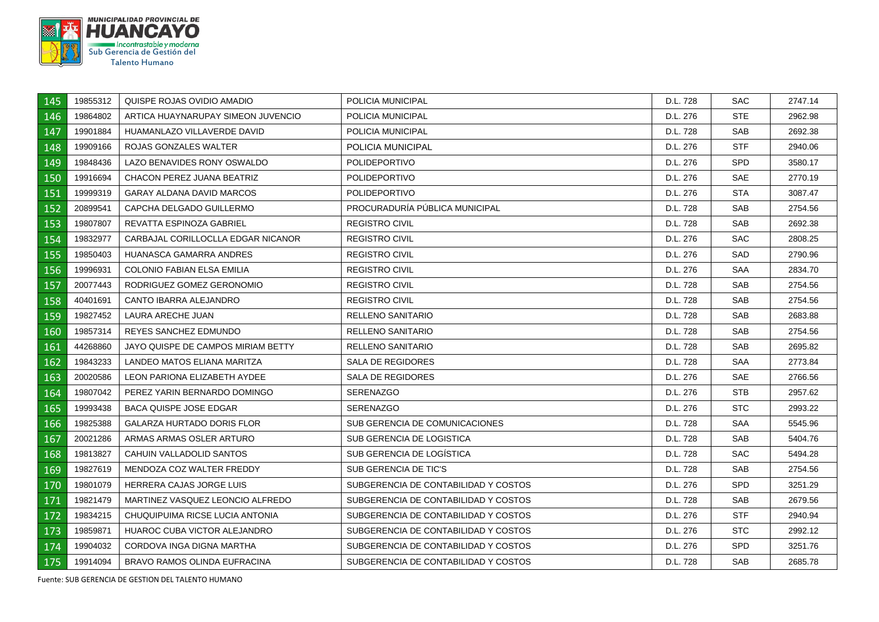

| 145 | 19855312 | QUISPE ROJAS OVIDIO AMADIO          | POLICIA MUNICIPAL                    | D.L. 728 | SAC.       | 2747.14 |
|-----|----------|-------------------------------------|--------------------------------------|----------|------------|---------|
| 146 | 19864802 | ARTICA HUAYNARUPAY SIMEON JUVENCIO  | POLICIA MUNICIPAL                    | D.L. 276 | <b>STE</b> | 2962.98 |
| 147 | 19901884 | HUAMANLAZO VILLAVERDE DAVID         | POLICIA MUNICIPAL                    | D.L. 728 | <b>SAB</b> | 2692.38 |
| 148 | 19909166 | ROJAS GONZALES WALTER               | POLICIA MUNICIPAL                    | D.L. 276 | <b>STF</b> | 2940.06 |
| 149 | 19848436 | LAZO BENAVIDES RONY OSWALDO         | <b>POLIDEPORTIVO</b>                 | D.L. 276 | <b>SPD</b> | 3580.17 |
| 150 | 19916694 | CHACON PEREZ JUANA BEATRIZ          | <b>POLIDEPORTIVO</b>                 | D.L. 276 | <b>SAE</b> | 2770.19 |
| 151 | 19999319 | <b>GARAY ALDANA DAVID MARCOS</b>    | <b>POLIDEPORTIVO</b>                 | D.L. 276 | <b>STA</b> | 3087.47 |
| 152 | 20899541 | CAPCHA DELGADO GUILLERMO            | PROCURADURÍA PÚBLICA MUNICIPAL       | D.L. 728 | <b>SAB</b> | 2754.56 |
| 153 | 19807807 | REVATTA ESPINOZA GABRIEL            | <b>REGISTRO CIVIL</b>                | D.L. 728 | SAB        | 2692.38 |
| 154 | 19832977 | CARBAJAL CORILLOCLLA EDGAR NICANOR  | <b>REGISTRO CIVIL</b>                | D.L. 276 | <b>SAC</b> | 2808.25 |
| 155 | 19850403 | HUANASCA GAMARRA ANDRES             | <b>REGISTRO CIVIL</b>                | D.L. 276 | SAD        | 2790.96 |
| 156 | 19996931 | <b>COLONIO FABIAN ELSA EMILIA</b>   | <b>REGISTRO CIVIL</b>                | D.L. 276 | SAA        | 2834.70 |
| 157 | 20077443 | RODRIGUEZ GOMEZ GERONOMIO           | <b>REGISTRO CIVIL</b>                | D.L. 728 | SAB        | 2754.56 |
| 158 | 40401691 | CANTO IBARRA ALEJANDRO              | <b>REGISTRO CIVIL</b>                | D.L. 728 | <b>SAB</b> | 2754.56 |
| 159 | 19827452 | LAURA ARECHE JUAN                   | RELLENO SANITARIO                    | D.L. 728 | SAB        | 2683.88 |
| 160 | 19857314 | REYES SANCHEZ EDMUNDO               | <b>RELLENO SANITARIO</b>             | D.L. 728 | <b>SAB</b> | 2754.56 |
| 161 | 44268860 | JAYO QUISPE DE CAMPOS MIRIAM BETTY  | <b>RELLENO SANITARIO</b>             | D.L. 728 | <b>SAB</b> | 2695.82 |
| 162 | 19843233 | LANDEO MATOS ELIANA MARITZA         | SALA DE REGIDORES                    | D.L. 728 | <b>SAA</b> | 2773.84 |
| 163 | 20020586 | LEON PARIONA ELIZABETH AYDEE        | SALA DE REGIDORES                    | D.L. 276 | <b>SAE</b> | 2766.56 |
| 164 | 19807042 | PEREZ YARIN BERNARDO DOMINGO        | <b>SERENAZGO</b>                     | D.L. 276 | STB        | 2957.62 |
| 165 | 19993438 | <b>BACA QUISPE JOSE EDGAR</b>       | <b>SERENAZGO</b>                     | D.L. 276 | STC        | 2993.22 |
| 166 | 19825388 | <b>GALARZA HURTADO DORIS FLOR</b>   | SUB GERENCIA DE COMUNICACIONES       | D.L. 728 | SAA        | 5545.96 |
| 167 | 20021286 | ARMAS ARMAS OSLER ARTURO            | SUB GERENCIA DE LOGISTICA            | D.L. 728 | SAB        | 5404.76 |
| 168 | 19813827 | CAHUIN VALLADOLID SANTOS            | SUB GERENCIA DE LOGISTICA            | D.L. 728 | SAC.       | 5494.28 |
| 169 | 19827619 | MENDOZA COZ WALTER FREDDY           | SUB GERENCIA DE TIC'S                | D.L. 728 | <b>SAB</b> | 2754.56 |
| 170 | 19801079 | HERRERA CAJAS JORGE LUIS            | SUBGERENCIA DE CONTABILIDAD Y COSTOS | D.L. 276 | <b>SPD</b> | 3251.29 |
| 171 | 19821479 | MARTINEZ VASQUEZ LEONCIO ALFREDO    | SUBGERENCIA DE CONTABILIDAD Y COSTOS | D.L. 728 | <b>SAB</b> | 2679.56 |
| 172 | 19834215 | CHUQUIPUIMA RICSE LUCIA ANTONIA     | SUBGERENCIA DE CONTABILIDAD Y COSTOS | D.L. 276 | <b>STF</b> | 2940.94 |
| 173 | 19859871 | HUAROC CUBA VICTOR ALEJANDRO        | SUBGERENCIA DE CONTABILIDAD Y COSTOS | D.L. 276 | <b>STC</b> | 2992.12 |
| 174 | 19904032 | CORDOVA INGA DIGNA MARTHA           | SUBGERENCIA DE CONTABILIDAD Y COSTOS | D.L. 276 | <b>SPD</b> | 3251.76 |
| 175 | 19914094 | <b>BRAVO RAMOS OLINDA EUFRACINA</b> | SUBGERENCIA DE CONTABILIDAD Y COSTOS | D.L. 728 | <b>SAB</b> | 2685.78 |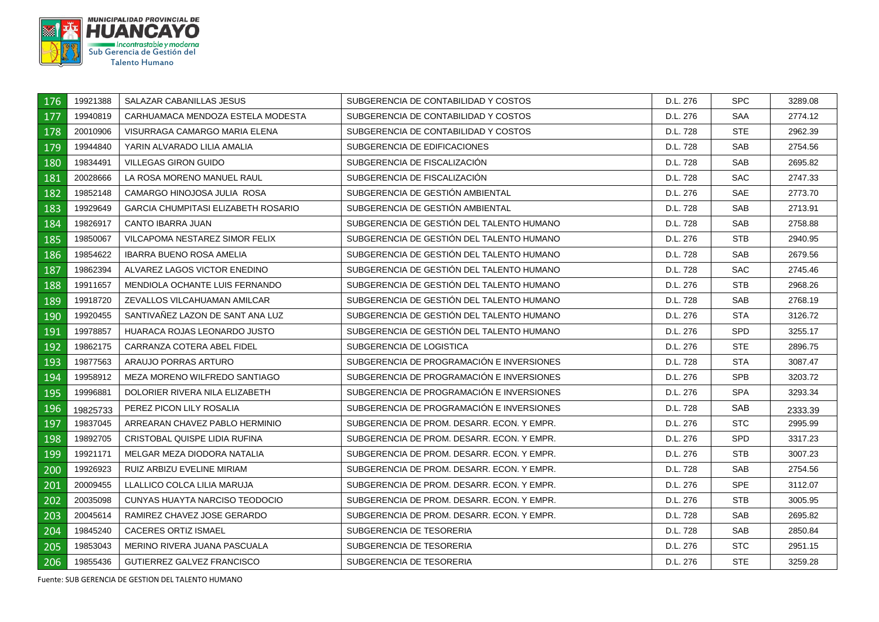

| 176 | 19921388 | SALAZAR CABANILLAS JESUS                   | SUBGERENCIA DE CONTABILIDAD Y COSTOS       | D.L. 276 | SPC        | 3289.08 |
|-----|----------|--------------------------------------------|--------------------------------------------|----------|------------|---------|
| 177 | 19940819 | CARHUAMACA MENDOZA ESTELA MODESTA          | SUBGERENCIA DE CONTABILIDAD Y COSTOS       | D.L. 276 | <b>SAA</b> | 2774.12 |
| 178 | 20010906 | VISURRAGA CAMARGO MARIA ELENA              | SUBGERENCIA DE CONTABILIDAD Y COSTOS       | D.L. 728 | <b>STE</b> | 2962.39 |
| 179 | 19944840 | YARIN ALVARADO LILIA AMALIA                | SUBGERENCIA DE EDIFICACIONES               | D.L. 728 | <b>SAB</b> | 2754.56 |
| 180 | 19834491 | <b>VILLEGAS GIRON GUIDO</b>                | SUBGERENCIA DE FISCALIZACIÓN               | D.L. 728 | <b>SAB</b> | 2695.82 |
| 181 | 20028666 | LA ROSA MORENO MANUEL RAUL                 | SUBGERENCIA DE FISCALIZACIÓN               | D.L. 728 | <b>SAC</b> | 2747.33 |
| 182 | 19852148 | CAMARGO HINOJOSA JULIA ROSA                | SUBGERENCIA DE GESTIÓN AMBIENTAL           | D.L. 276 | SAE        | 2773.70 |
| 183 | 19929649 | <b>GARCIA CHUMPITASI ELIZABETH ROSARIO</b> | SUBGERENCIA DE GESTIÓN AMBIENTAL           | D.L. 728 | SAB        | 2713.91 |
| 184 | 19826917 | CANTO IBARRA JUAN                          | SUBGERENCIA DE GESTIÓN DEL TALENTO HUMANO  | D.L. 728 | <b>SAB</b> | 2758.88 |
| 185 | 19850067 | VILCAPOMA NESTAREZ SIMOR FELIX             | SUBGERENCIA DE GESTIÓN DEL TALENTO HUMANO  | D.L. 276 | STB        | 2940.95 |
| 186 | 19854622 | <b>IBARRA BUENO ROSA AMELIA</b>            | SUBGERENCIA DE GESTIÓN DEL TALENTO HUMANO  | D.L. 728 | <b>SAB</b> | 2679.56 |
| 187 | 19862394 | ALVAREZ LAGOS VICTOR ENEDINO               | SUBGERENCIA DE GESTIÓN DEL TALENTO HUMANO  | D.L. 728 | <b>SAC</b> | 2745.46 |
| 188 | 19911657 | MENDIOLA OCHANTE LUIS FERNANDO             | SUBGERENCIA DE GESTIÓN DEL TALENTO HUMANO  | D.L. 276 | STB        | 2968.26 |
| 189 | 19918720 | ZEVALLOS VILCAHUAMAN AMILCAR               | SUBGERENCIA DE GESTION DEL TALENTO HUMANO  | D.L. 728 | <b>SAB</b> | 2768.19 |
| 190 | 19920455 | SANTIVAÑEZ LAZON DE SANT ANA LUZ           | SUBGERENCIA DE GESTIÓN DEL TALENTO HUMANO  | D.L. 276 | <b>STA</b> | 3126.72 |
| 191 | 19978857 | HUARACA ROJAS LEONARDO JUSTO               | SUBGERENCIA DE GESTIÓN DEL TALENTO HUMANO  | D.L. 276 | <b>SPD</b> | 3255.17 |
| 192 | 19862175 | CARRANZA COTERA ABEL FIDEL                 | SUBGERENCIA DE LOGISTICA                   | D.L. 276 | <b>STE</b> | 2896.75 |
| 193 | 19877563 | ARAUJO PORRAS ARTURO                       | SUBGERENCIA DE PROGRAMACIÓN E INVERSIONES  | D.L. 728 | <b>STA</b> | 3087.47 |
| 194 | 19958912 | MEZA MORENO WILFREDO SANTIAGO              | SUBGERENCIA DE PROGRAMACION E INVERSIONES  | D.L. 276 | SPB        | 3203.72 |
| 195 | 19996881 | DOLORIER RIVERA NILA ELIZABETH             | SUBGERENCIA DE PROGRAMACIÓN E INVERSIONES  | D.L. 276 | <b>SPA</b> | 3293.34 |
| 196 | 19825733 | PEREZ PICON LILY ROSALIA                   | SUBGERENCIA DE PROGRAMACIÓN E INVERSIONES  | D.L. 728 | SAB        | 2333.39 |
| 197 | 19837045 | ARREARAN CHAVEZ PABLO HERMINIO             | SUBGERENCIA DE PROM. DESARR. ECON. Y EMPR. | D.L. 276 | STC        | 2995.99 |
| 198 | 19892705 | CRISTOBAL QUISPE LIDIA RUFINA              | SUBGERENCIA DE PROM. DESARR. ECON. Y EMPR. | D.L. 276 | SPD.       | 3317.23 |
| 199 | 19921171 | MELGAR MEZA DIODORA NATALIA                | SUBGERENCIA DE PROM. DESARR. ECON. Y EMPR. | D.L. 276 | <b>STB</b> | 3007.23 |
| 200 | 19926923 | RUIZ ARBIZU EVELINE MIRIAM                 | SUBGERENCIA DE PROM. DESARR. ECON. Y EMPR. | D.L. 728 | <b>SAB</b> | 2754.56 |
| 201 | 20009455 | LLALLICO COLCA LILIA MARUJA                | SUBGERENCIA DE PROM. DESARR. ECON. Y EMPR. | D.L. 276 | <b>SPE</b> | 3112.07 |
| 202 | 20035098 | CUNYAS HUAYTA NARCISO TEODOCIO             | SUBGERENCIA DE PROM. DESARR. ECON. Y EMPR. | D.L. 276 | STB        | 3005.95 |
| 203 | 20045614 | RAMIREZ CHAVEZ JOSE GERARDO                | SUBGERENCIA DE PROM. DESARR. ECON. Y EMPR. | D.L. 728 | <b>SAB</b> | 2695.82 |
| 204 | 19845240 | <b>CACERES ORTIZ ISMAEL</b>                | SUBGERENCIA DE TESORERIA                   | D.L. 728 | <b>SAB</b> | 2850.84 |
| 205 | 19853043 | MERINO RIVERA JUANA PASCUALA               | SUBGERENCIA DE TESORERIA                   | D.L. 276 | STC        | 2951.15 |
| 206 | 19855436 | <b>GUTIERREZ GALVEZ FRANCISCO</b>          | SUBGERENCIA DE TESORERIA                   | D.L. 276 | <b>STE</b> | 3259.28 |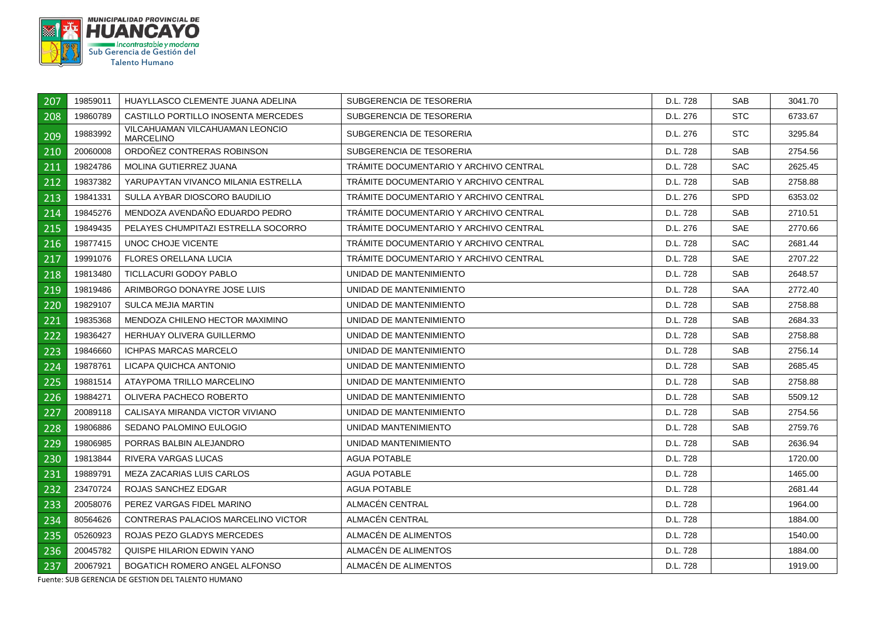

| 207 | 19859011 | HUAYLLASCO CLEMENTE JUANA ADELINA                   | SUBGERENCIA DE TESORERIA               | D.L. 728 | <b>SAB</b> | 3041.70 |
|-----|----------|-----------------------------------------------------|----------------------------------------|----------|------------|---------|
| 208 | 19860789 | CASTILLO PORTILLO INOSENTA MERCEDES                 | SUBGERENCIA DE TESORERIA               | D.L. 276 | <b>STC</b> | 6733.67 |
| 209 | 19883992 | VILCAHUAMAN VILCAHUAMAN LEONCIO<br><b>MARCELINO</b> | SUBGERENCIA DE TESORERIA               | D.L. 276 | <b>STC</b> | 3295.84 |
| 210 | 20060008 | ORDOÑEZ CONTRERAS ROBINSON                          | SUBGERENCIA DE TESORERIA               | D.L. 728 | <b>SAB</b> | 2754.56 |
| 211 | 19824786 | MOLINA GUTIERREZ JUANA                              | TRAMITE DOCUMENTARIO Y ARCHIVO CENTRAL | D.L. 728 | <b>SAC</b> | 2625.45 |
| 212 | 19837382 | YARUPAYTAN VIVANCO MILANIA ESTRELLA                 | TRÁMITE DOCUMENTARIO Y ARCHIVO CENTRAL | D.L. 728 | <b>SAB</b> | 2758.88 |
| 213 | 19841331 | SULLA AYBAR DIOSCORO BAUDILIO                       | TRAMITE DOCUMENTARIO Y ARCHIVO CENTRAL | D.L. 276 | <b>SPD</b> | 6353.02 |
| 214 | 19845276 | MENDOZA AVENDAÑO EDUARDO PEDRO                      | TRAMITE DOCUMENTARIO Y ARCHIVO CENTRAL | D.L. 728 | <b>SAB</b> | 2710.51 |
| 215 | 19849435 | PELAYES CHUMPITAZI ESTRELLA SOCORRO                 | TRÁMITE DOCUMENTARIO Y ARCHIVO CENTRAL | D.L. 276 | SAE        | 2770.66 |
| 216 | 19877415 | UNOC CHOJE VICENTE                                  | TRÁMITE DOCUMENTARIO Y ARCHIVO CENTRAL | D.L. 728 | <b>SAC</b> | 2681.44 |
| 217 | 19991076 | <b>FLORES ORELLANA LUCIA</b>                        | TRAMITE DOCUMENTARIO Y ARCHIVO CENTRAL | D.L. 728 | <b>SAE</b> | 2707.22 |
| 218 | 19813480 | <b>TICLLACURI GODOY PABLO</b>                       | UNIDAD DE MANTENIMIENTO                | D.L. 728 | <b>SAB</b> | 2648.57 |
| 219 | 19819486 | ARIMBORGO DONAYRE JOSE LUIS                         | UNIDAD DE MANTENIMIENTO                | D.L. 728 | <b>SAA</b> | 2772.40 |
| 220 | 19829107 | <b>SULCA MEJIA MARTIN</b>                           | UNIDAD DE MANTENIMIENTO                | D.L. 728 | <b>SAB</b> | 2758.88 |
| 221 | 19835368 | MENDOZA CHILENO HECTOR MAXIMINO                     | UNIDAD DE MANTENIMIENTO                | D.L. 728 | <b>SAB</b> | 2684.33 |
| 222 | 19836427 | HERHUAY OLIVERA GUILLERMO                           | UNIDAD DE MANTENIMIENTO                | D.L. 728 | <b>SAB</b> | 2758.88 |
| 223 | 19846660 | <b>ICHPAS MARCAS MARCELO</b>                        | UNIDAD DE MANTENIMIENTO                | D.L. 728 | SAB        | 2756.14 |
| 224 | 19878761 | LICAPA QUICHCA ANTONIO                              | UNIDAD DE MANTENIMIENTO                | D.L. 728 | <b>SAB</b> | 2685.45 |
| 225 | 19881514 | ATAYPOMA TRILLO MARCELINO                           | UNIDAD DE MANTENIMIENTO                | D.L. 728 | <b>SAB</b> | 2758.88 |
| 226 | 19884271 | OLIVERA PACHECO ROBERTO                             | UNIDAD DE MANTENIMIENTO                | D.L. 728 | <b>SAB</b> | 5509.12 |
| 227 | 20089118 | CALISAYA MIRANDA VICTOR VIVIANO                     | UNIDAD DE MANTENIMIENTO                | D.L. 728 | <b>SAB</b> | 2754.56 |
| 228 | 19806886 | SEDANO PALOMINO EULOGIO                             | UNIDAD MANTENIMIENTO                   | D.L. 728 | <b>SAB</b> | 2759.76 |
| 229 | 19806985 | PORRAS BALBIN ALEJANDRO                             | UNIDAD MANTENIMIENTO                   | D.L. 728 | <b>SAB</b> | 2636.94 |
| 230 | 19813844 | RIVERA VARGAS LUCAS                                 | <b>AGUA POTABLE</b>                    | D.L. 728 |            | 1720.00 |
| 231 | 19889791 | MEZA ZACARIAS LUIS CARLOS                           | <b>AGUA POTABLE</b>                    | D.L. 728 |            | 1465.00 |
| 232 | 23470724 | ROJAS SANCHEZ EDGAR                                 | <b>AGUA POTABLE</b>                    | D.L. 728 |            | 2681.44 |
| 233 | 20058076 | PEREZ VARGAS FIDEL MARINO                           | ALMACÉN CENTRAL                        | D.L. 728 |            | 1964.00 |
| 234 | 80564626 | CONTRERAS PALACIOS MARCELINO VICTOR                 | ALMACÉN CENTRAL                        | D.L. 728 |            | 1884.00 |
| 235 | 05260923 | ROJAS PEZO GLADYS MERCEDES                          | ALMACÉN DE ALIMENTOS                   | D.L. 728 |            | 1540.00 |
| 236 | 20045782 | QUISPE HILARION EDWIN YANO                          | ALMACÉN DE ALIMENTOS                   | D.L. 728 |            | 1884.00 |
| 237 | 20067921 | BOGATICH ROMERO ANGEL ALFONSO                       | ALMACÉN DE ALIMENTOS                   | D.L. 728 |            | 1919.00 |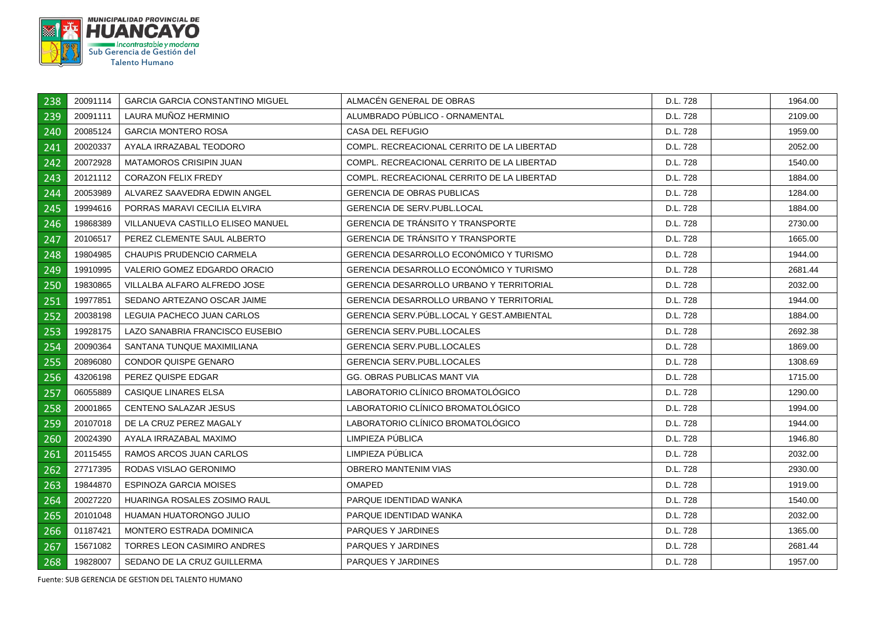

| 238 | 20091114 | <b>GARCIA GARCIA CONSTANTINO MIGUEL</b> | ALMACEN GENERAL DE OBRAS                        | D.L. 728 | 1964.00 |
|-----|----------|-----------------------------------------|-------------------------------------------------|----------|---------|
| 239 | 20091111 | LAURA MUÑOZ HERMINIO                    | ALUMBRADO PÚBLICO - ORNAMENTAL                  | D.L. 728 | 2109.00 |
| 240 | 20085124 | <b>GARCIA MONTERO ROSA</b>              | <b>CASA DEL REFUGIO</b>                         | D.L. 728 | 1959.00 |
| 241 | 20020337 | AYALA IRRAZABAL TEODORO                 | COMPL. RECREACIONAL CERRITO DE LA LIBERTAD      | D.L. 728 | 2052.00 |
| 242 | 20072928 | <b>MATAMOROS CRISIPIN JUAN</b>          | COMPL. RECREACIONAL CERRITO DE LA LIBERTAD      | D.L. 728 | 1540.00 |
| 243 | 20121112 | <b>CORAZON FELIX FREDY</b>              | COMPL. RECREACIONAL CERRITO DE LA LIBERTAD      | D.L. 728 | 1884.00 |
| 244 | 20053989 | ALVAREZ SAAVEDRA EDWIN ANGEL            | <b>GERENCIA DE OBRAS PUBLICAS</b>               | D.L. 728 | 1284.00 |
| 245 | 19994616 | PORRAS MARAVI CECILIA ELVIRA            | <b>GERENCIA DE SERV.PUBL.LOCAL</b>              | D.L. 728 | 1884.00 |
| 246 | 19868389 | VILLANUEVA CASTILLO ELISEO MANUEL       | GERENCIA DE TRÁNSITO Y TRANSPORTE               | D.L. 728 | 2730.00 |
| 247 | 20106517 | PEREZ CLEMENTE SAUL ALBERTO             | <b>GERENCIA DE TRÁNSITO Y TRANSPORTE</b>        | D.L. 728 | 1665.00 |
| 248 | 19804985 | CHAUPIS PRUDENCIO CARMELA               | GERENCIA DESARROLLO ECONÓMICO Y TURISMO         | D.L. 728 | 1944.00 |
| 249 | 19910995 | VALERIO GOMEZ EDGARDO ORACIO            | GERENCIA DESARROLLO ECONÓMICO Y TURISMO         | D.L. 728 | 2681.44 |
| 250 | 19830865 | VILLALBA ALFARO ALFREDO JOSE            | <b>GERENCIA DESARROLLO URBANO Y TERRITORIAL</b> | D.L. 728 | 2032.00 |
| 251 | 19977851 | SEDANO ARTEZANO OSCAR JAIME             | <b>GERENCIA DESARROLLO URBANO Y TERRITORIAL</b> | D.L. 728 | 1944.00 |
| 252 | 20038198 | LEGUIA PACHECO JUAN CARLOS              | GERENCIA SERV.PUBL.LOCAL Y GEST.AMBIENTAL       | D.L. 728 | 1884.00 |
| 253 | 19928175 | LAZO SANABRIA FRANCISCO EUSEBIO         | <b>GERENCIA SERV.PUBL.LOCALES</b>               | D.L. 728 | 2692.38 |
| 254 | 20090364 | SANTANA TUNQUE MAXIMILIANA              | <b>GERENCIA SERV.PUBL.LOCALES</b>               | D.L. 728 | 1869.00 |
| 255 | 20896080 | <b>CONDOR QUISPE GENARO</b>             | <b>GERENCIA SERV.PUBL.LOCALES</b>               | D.L. 728 | 1308.69 |
| 256 | 43206198 | PEREZ QUISPE EDGAR                      | GG. OBRAS PUBLICAS MANT VIA                     | D.L. 728 | 1715.00 |
| 257 | 06055889 | <b>CASIQUE LINARES ELSA</b>             | LABORATORIO CLÍNICO BROMATOLÓGICO               | D.L. 728 | 1290.00 |
| 258 | 20001865 | <b>CENTENO SALAZAR JESUS</b>            | LABORATORIO CLÍNICO BROMATOLÓGICO               | D.L. 728 | 1994.00 |
| 259 | 20107018 | DE LA CRUZ PEREZ MAGALY                 | LABORATORIO CLÍNICO BROMATOLÓGICO               | D.L. 728 | 1944.00 |
| 260 | 20024390 | AYALA IRRAZABAL MAXIMO                  | LIMPIEZA PÚBLICA                                | D.L. 728 | 1946.80 |
| 261 | 20115455 | RAMOS ARCOS JUAN CARLOS                 | LIMPIEZA PUBLICA                                | D.L. 728 | 2032.00 |
| 262 | 27717395 | RODAS VISLAO GERONIMO                   | OBRERO MANTENIM VIAS                            | D.L. 728 | 2930.00 |
| 263 | 19844870 | <b>ESPINOZA GARCIA MOISES</b>           | <b>OMAPED</b>                                   | D.L. 728 | 1919.00 |
| 264 | 20027220 | HUARINGA ROSALES ZOSIMO RAUL            | PARQUE IDENTIDAD WANKA                          | D.L. 728 | 1540.00 |
| 265 | 20101048 | HUAMAN HUATORONGO JULIO                 | PARQUE IDENTIDAD WANKA                          | D.L. 728 | 2032.00 |
| 266 | 01187421 | MONTERO ESTRADA DOMINICA                | PARQUES Y JARDINES                              | D.L. 728 | 1365.00 |
| 267 | 15671082 | <b>TORRES LEON CASIMIRO ANDRES</b>      | PARQUES Y JARDINES                              | D.L. 728 | 2681.44 |
| 268 | 19828007 | SEDANO DE LA CRUZ GUILLERMA             | PARQUES Y JARDINES                              | D.L. 728 | 1957.00 |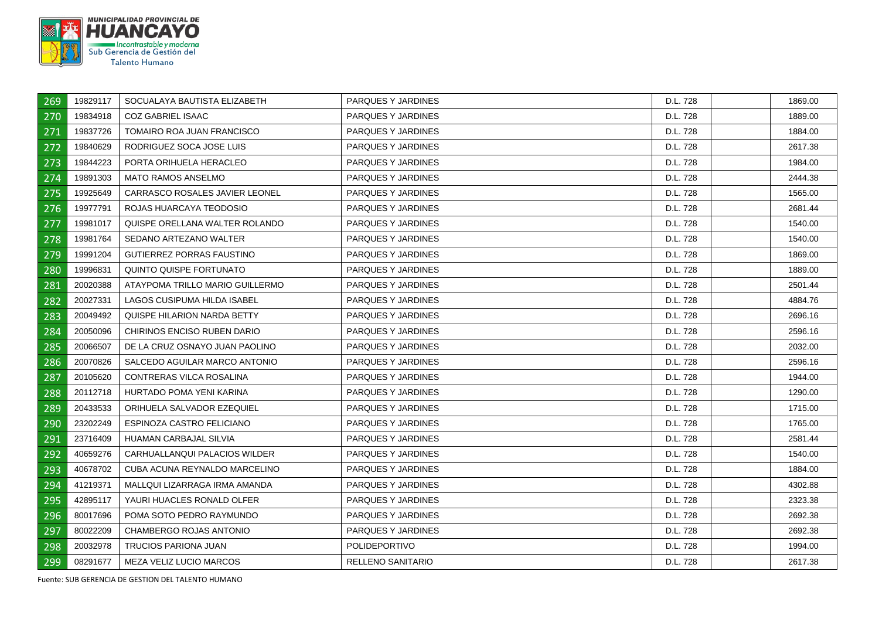

| 269 | 19829117 | SOCUALAYA BAUTISTA ELIZABETH     | PARQUES Y JARDINES   | D.L. 728 | 1869.00 |
|-----|----------|----------------------------------|----------------------|----------|---------|
| 270 | 19834918 | <b>COZ GABRIEL ISAAC</b>         | PARQUES Y JARDINES   | D.L. 728 | 1889.00 |
| 271 | 19837726 | TOMAIRO ROA JUAN FRANCISCO       | PARQUES Y JARDINES   | D.L. 728 | 1884.00 |
| 272 | 19840629 | RODRIGUEZ SOCA JOSE LUIS         | PARQUES Y JARDINES   | D.L. 728 | 2617.38 |
| 273 | 19844223 | PORTA ORIHUELA HERACLEO          | PARQUES Y JARDINES   | D.L. 728 | 1984.00 |
| 274 | 19891303 | <b>MATO RAMOS ANSELMO</b>        | PARQUES Y JARDINES   | D.L. 728 | 2444.38 |
| 275 | 19925649 | CARRASCO ROSALES JAVIER LEONEL   | PARQUES Y JARDINES   | D.L. 728 | 1565.00 |
| 276 | 19977791 | ROJAS HUARCAYA TEODOSIO          | PARQUES Y JARDINES   | D.L. 728 | 2681.44 |
| 277 | 19981017 | QUISPE ORELLANA WALTER ROLANDO   | PARQUES Y JARDINES   | D.L. 728 | 1540.00 |
| 278 | 19981764 | SEDANO ARTEZANO WALTER           | PARQUES Y JARDINES   | D.L. 728 | 1540.00 |
| 279 | 19991204 | <b>GUTIERREZ PORRAS FAUSTINO</b> | PARQUES Y JARDINES   | D.L. 728 | 1869.00 |
| 280 | 19996831 | QUINTO QUISPE FORTUNATO          | PARQUES Y JARDINES   | D.L. 728 | 1889.00 |
| 281 | 20020388 | ATAYPOMA TRILLO MARIO GUILLERMO  | PARQUES Y JARDINES   | D.L. 728 | 2501.44 |
| 282 | 20027331 | LAGOS CUSIPUMA HILDA ISABEL      | PARQUES Y JARDINES   | D.L. 728 | 4884.76 |
| 283 | 20049492 | QUISPE HILARION NARDA BETTY      | PARQUES Y JARDINES   | D.L. 728 | 2696.16 |
| 284 | 20050096 | CHIRINOS ENCISO RUBEN DARIO      | PARQUES Y JARDINES   | D.L. 728 | 2596.16 |
| 285 | 20066507 | DE LA CRUZ OSNAYO JUAN PAOLINO   | PARQUES Y JARDINES   | D.L. 728 | 2032.00 |
| 286 | 20070826 | SALCEDO AGUILAR MARCO ANTONIO    | PARQUES Y JARDINES   | D.L. 728 | 2596.16 |
| 287 | 20105620 | CONTRERAS VILCA ROSALINA         | PARQUES Y JARDINES   | D.L. 728 | 1944.00 |
| 288 | 20112718 | HURTADO POMA YENI KARINA         | PARQUES Y JARDINES   | D.L. 728 | 1290.00 |
| 289 | 20433533 | ORIHUELA SALVADOR EZEQUIEL       | PARQUES Y JARDINES   | D.L. 728 | 1715.00 |
| 290 | 23202249 | ESPINOZA CASTRO FELICIANO        | PARQUES Y JARDINES   | D.L. 728 | 1765.00 |
| 291 | 23716409 | <b>HUAMAN CARBAJAL SILVIA</b>    | PARQUES Y JARDINES   | D.L. 728 | 2581.44 |
| 292 | 40659276 | CARHUALLANQUI PALACIOS WILDER    | PARQUES Y JARDINES   | D.L. 728 | 1540.00 |
| 293 | 40678702 | CUBA ACUNA REYNALDO MARCELINO    | PARQUES Y JARDINES   | D.L. 728 | 1884.00 |
| 294 | 41219371 | MALLQUI LIZARRAGA IRMA AMANDA    | PARQUES Y JARDINES   | D.L. 728 | 4302.88 |
| 295 | 42895117 | YAURI HUACLES RONALD OLFER       | PARQUES Y JARDINES   | D.L. 728 | 2323.38 |
| 296 | 80017696 | POMA SOTO PEDRO RAYMUNDO         | PARQUES Y JARDINES   | D.L. 728 | 2692.38 |
| 297 | 80022209 | CHAMBERGO ROJAS ANTONIO          | PARQUES Y JARDINES   | D.L. 728 | 2692.38 |
| 298 | 20032978 | TRUCIOS PARIONA JUAN             | <b>POLIDEPORTIVO</b> | D.L. 728 | 1994.00 |
| 299 | 08291677 | MEZA VELIZ LUCIO MARCOS          | RELLENO SANITARIO    | D.L. 728 | 2617.38 |